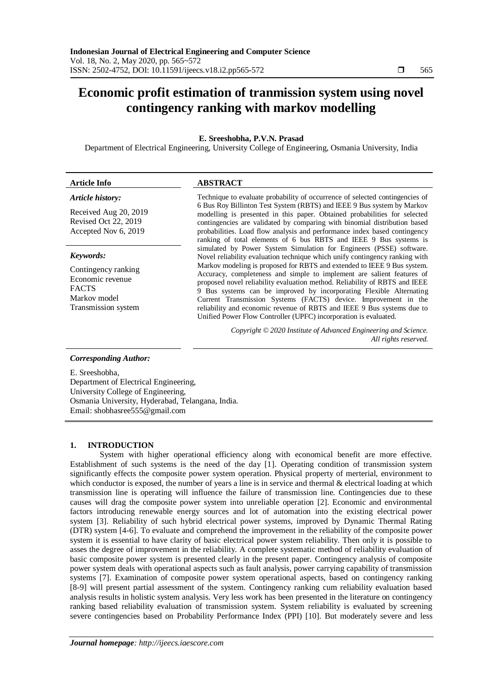# **Economic profit estimation of tranmission system using novel contingency ranking with markov modelling**

# **E. Sreeshobha, P.V.N. Prasad**

Department of Electrical Engineering, University College of Engineering, Osmania University, India

# **Article Info ABSTRACT**

#### *Article history:*

Received Aug 20, 2019 Revised Oct 22, 2019 Accepted Nov 6, 2019

#### *Keywords:*

Contingency ranking Economic revenue FACTS Markov model Transmission system

Technique to evaluate probability of occurrence of selected contingencies of 6 Bus Roy Billinton Test System (RBTS) and IEEE 9 Bus system by Markov modelling is presented in this paper. Obtained probabilities for selected contingencies are validated by comparing with binomial distribution based probabilities. Load flow analysis and performance index based contingency ranking of total elements of 6 bus RBTS and IEEE 9 Bus systems is simulated by Power System Simulation for Engineers (PSSE) software. Novel reliability evaluation technique which unify contingency ranking with Markov modeling is proposed for RBTS and extended to IEEE 9 Bus system. Accuracy, completeness and simple to implement are salient features of proposed novel reliability evaluation method. Reliability of RBTS and IEEE 9 Bus systems can be improved by incorporating Flexible Alternating Current Transmission Systems (FACTS) device. Improvement in the reliability and economic revenue of RBTS and IEEE 9 Bus systems due to Unified Power Flow Controller (UPFC) incorporation is evaluated.

> *Copyright © 2020 Institute of Advanced Engineering and Science. All rights reserved.*

#### *Corresponding Author:*

E. Sreeshobha, Department of Electrical Engineering, University College of Engineering, Osmania University, Hyderabad, Telangana, India.

Email: shobhasree555@gmail.com

## **1. INTRODUCTION**

System with higher operational efficiency along with economical benefit are more effective. Establishment of such systems is the need of the day [1]. Operating condition of transmission system significantly effects the composite power system operation. Physical property of merterial, environment to which conductor is exposed, the number of years a line is in service and thermal & electrical loading at which transmission line is operating will influence the failure of transmission line. Contingencies due to these causes will drag the composite power system into unreliable operation [2]. Economic and environmental factors introducing renewable energy sources and lot of automation into the existing electrical power system [3]. Reliability of such hybrid electrical power systems, improved by Dynamic Thermal Rating (DTR) system [4-6]. To evaluate and comprehend the improvement in the reliability of the composite power system it is essential to have clarity of basic electrical power system reliability. Then only it is possible to asses the degree of improvement in the reliability. A complete systematic method of reliability evaluation of basic composite power system is presented clearly in the present paper. Contingency analysis of composite power system deals with operational aspects such as fault analysis, power carrying capability of transmission systems [7]. Examination of composite power system operational aspects, based on contingency ranking [8-9] will present partial assessment of the system. Contingency ranking cum reliability evaluation based analysis results in holistic system analysis. Very less work has been presented in the literature on contingency ranking based reliability evaluation of transmission system. System reliability is evaluated by screening severe contingencies based on Probability Performance Index (PPI) [10]. But moderately severe and less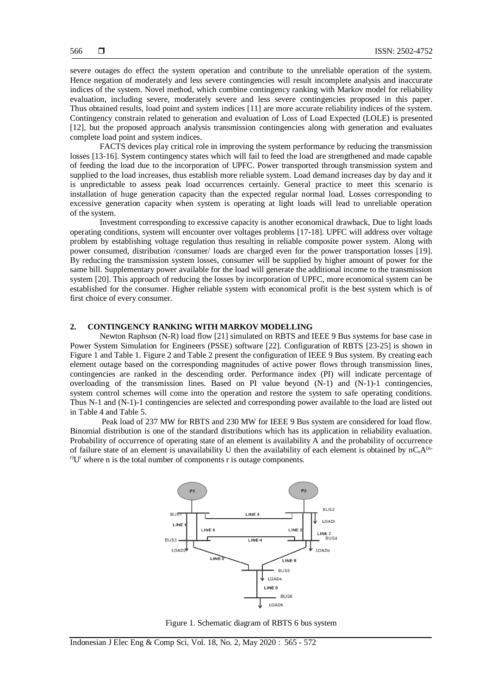severe outages do effect the system operation and contribute to the unreliable operation of the system. Hence negation of moderately and less severe contingencies will result incomplete analysis and inaccurate indices of the system. Novel method, which combine contingency ranking with Markov model for reliability evaluation, including severe, moderately severe and less severe contingencies proposed in this paper. Thus obtained results, load point and system indices [11] are more accurate reliability indices of the system. Contingency constrain related to generation and evaluation of Loss of Load Expected (LOLE) is presented [12], but the proposed approach analysis transmission contingencies along with generation and evaluates complete load point and system indices.

FACTS devices play critical role in improving the system performance by reducing the transmission losses [13-16]. System contingency states which will fail to feed the load are strengthened and made capable of feeding the load due to the incorporation of UPFC. Power transported through transmission system and supplied to the load increases, thus establish more reliable system. Load demand increases day by day and it is unpredictable to assess peak load occurrences certainly. General practice to meet this scenario is installation of huge generation capacity than the expected regular normal load. Losses corresponding to excessive generation capacity when system is operating at light loads will lead to unreliable operation of the system.

Investment corresponding to excessive capacity is another economical drawback, Due to light loads operating conditions, system will encounter over voltages problems [17-18]. UPFC will address over voltage problem by establishing voltage regulation thus resulting in reliable composite power system. Along with power consumed, distribution /consumer/ loads are charged even for the power transportation losses [19]. By reducing the transmission system losses, consumer will be supplied by higher amount of power for the same bill. Supplementary power available for the load will generate the additional income to the transmission system [20]. This approach of reducing the losses by incorporation of UPFC, more economical system can be established for the consumer. Higher reliable system with economical profit is the best system which is of first choice of every consumer.

#### **2. CONTINGENCY RANKING WITH MARKOV MODELLING**

Newton Raphson (N-R) load flow [21] simulated on RBTS and IEEE 9 Bus systems for base case in Power System Simulation for Engineers (PSSE) software [22]. Configuration of RBTS [23-25] is shown in Figure 1 and Table 1. Figure 2 and Table 2 present the configuration of IEEE 9 Bus system. By creating each element outage based on the corresponding magnitudes of active power flows through transmission lines, contingencies are ranked in the descending order. Performance index (PI) will indicate percentage of overloading of the transmission lines. Based on PI value beyond (N-1) and (N-1)-1 contingencies, system control schemes will come into the operation and restore the system to safe operating conditions. Thus N-1 and (N-1)-1 contingencies are selected and corresponding power available to the load are listed out in Table 4 and Table 5.

Peak load of 237 MW for RBTS and 230 MW for IEEE 9 Bus system are considered for load flow. Binomial distribution is one of the standard distributions which has its application in reliability evaluation. Probability of occurrence of operating state of an element is availability A and the probability of occurrence of failure state of an element is unavailability U then the availability of each element is obtained by  $nC_rA^{(n-1)}$  $r$ <sup>r)</sup>U<sup>r</sup> where n is the total number of components r is outage components.



Figure 1. Schematic diagram of RBTS 6 bus system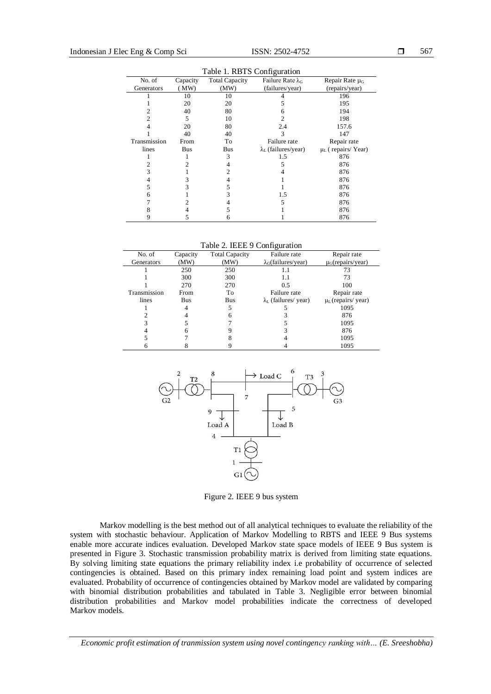| Table 1. RBTS Configuration |          |                       |                             |                                   |  |  |
|-----------------------------|----------|-----------------------|-----------------------------|-----------------------------------|--|--|
| No. of                      | Capacity | <b>Total Capacity</b> | Failure Rate $\lambda_G$    | Repair Rate $\mu$ <sub>G</sub>    |  |  |
| Generators                  | MW)      | (MW)                  | (failures/year)             | (repairs/year)                    |  |  |
|                             | 10       | 10                    |                             | 196                               |  |  |
|                             | 20       | 20                    |                             | 195                               |  |  |
| 2                           | 40       | 80                    | 6                           | 194                               |  |  |
| $\overline{c}$              | 5        | 10                    | 2                           | 198                               |  |  |
|                             | 20       | 80                    | 2.4                         | 157.6                             |  |  |
|                             | 40       | 40                    | 3                           | 147                               |  |  |
| Transmission                | From     | To                    | Failure rate                | Repair rate                       |  |  |
| lines                       | Bus      | Bus                   | $\lambda_L$ (failures/year) | $\mu$ <sub>L</sub> (repairs/Year) |  |  |
|                             |          | 3                     | 1.5                         | 876                               |  |  |
| 2                           |          | 4                     | 5                           | 876                               |  |  |
| 3                           |          | $\mathfrak{D}$        |                             | 876                               |  |  |
| 4                           | 3        | 4                     |                             | 876                               |  |  |
| 5                           | 3        | 5                     |                             | 876                               |  |  |
| 6                           |          | 3                     | 1.5                         | 876                               |  |  |
|                             |          |                       | 5                           | 876                               |  |  |
|                             |          | 5                     |                             | 876                               |  |  |
|                             | 5        | 6                     |                             | 876                               |  |  |

Table 2. IEEE 9 Configuration

| No. of       | Capacity | <b>Total Capacity</b> | Failure rate                       | Repair rate                        |
|--------------|----------|-----------------------|------------------------------------|------------------------------------|
| Generators   | (MW)     | (MW)                  | $\lambda_G$ (failures/year)        | $\mu$ <sub>G</sub> (repairs/year)  |
|              | 250      | 250                   |                                    | 73                                 |
|              | 300      | 300                   | 1.1                                | 73                                 |
|              | 270      | 270                   | 0.5                                | 100                                |
| Transmission | From     | To                    | Failure rate                       | Repair rate                        |
| lines        | Bus      | Bus                   | $\lambda_{\rm L}$ (failures/ year) | $\mu$ <sub>L</sub> (repairs/ year) |
|              |          | 5                     |                                    | 1095                               |
|              |          |                       |                                    | 876                                |
|              |          |                       |                                    | 1095                               |
|              | n        |                       |                                    | 876                                |
|              |          |                       |                                    | 1095                               |
|              |          |                       |                                    | 1095                               |



Figure 2. IEEE 9 bus system

Markov modelling is the best method out of all analytical techniques to evaluate the reliability of the system with stochastic behaviour. Application of Markov Modelling to RBTS and IEEE 9 Bus systems enable more accurate indices evaluation. Developed Markov state space models of IEEE 9 Bus system is presented in Figure 3. Stochastic transmission probability matrix is derived from limiting state equations. By solving limiting state equations the primary reliability index i.e probability of occurrence of selected contingencies is obtained. Based on this primary index remaining load point and system indices are evaluated. Probability of occurrence of contingencies obtained by Markov model are validated by comparing with binomial distribution probabilities and tabulated in Table 3. Negligible error between binomial distribution probabilities and Markov model probabilities indicate the correctness of developed Markov models.

*Economic profit estimation of tranmission system using novel contingency ranking with… (E. Sreeshobha)*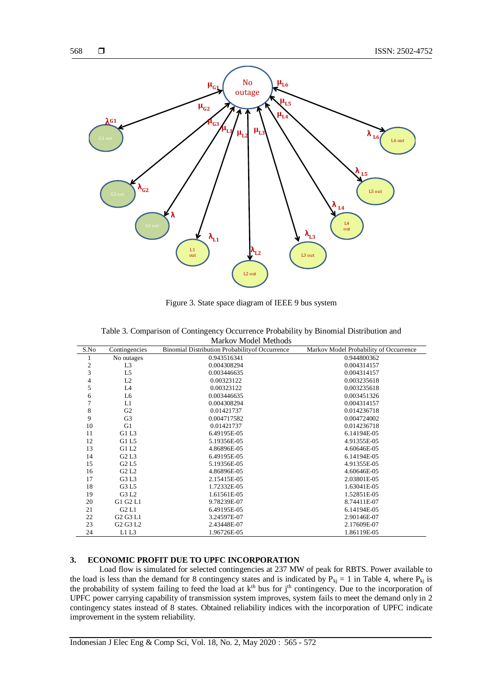

Figure 3. State space diagram of IEEE 9 bus system

|                          | Markov Model Methods                         |                                                 |                                        |  |  |  |  |
|--------------------------|----------------------------------------------|-------------------------------------------------|----------------------------------------|--|--|--|--|
| S.No                     | Contingencies                                | Binomial Distribution Probability of Occurrence | Markov Model Probability of Occurrence |  |  |  |  |
| 1                        | No outages                                   | 0.943516341                                     | 0.944800362                            |  |  |  |  |
| $\overline{c}$           | L <sub>3</sub>                               | 0.004308294                                     | 0.004314157                            |  |  |  |  |
| 3                        | L <sub>5</sub>                               | 0.003446635                                     | 0.004314157                            |  |  |  |  |
| $\overline{\mathcal{L}}$ | L2                                           | 0.00323122                                      | 0.003235618                            |  |  |  |  |
| 5                        | L <sub>4</sub>                               | 0.00323122                                      | 0.003235618                            |  |  |  |  |
| 6                        | L6                                           | 0.003446635                                     | 0.003451326                            |  |  |  |  |
| $\overline{7}$           | L1                                           | 0.004308294                                     | 0.004314157                            |  |  |  |  |
| $\,$ 8 $\,$              | G <sub>2</sub>                               | 0.01421737                                      | 0.014236718                            |  |  |  |  |
| 9                        | G <sub>3</sub>                               | 0.004717582                                     | 0.004724002                            |  |  |  |  |
| 10                       | G1                                           | 0.01421737                                      | 0.014236718                            |  |  |  |  |
| 11                       | G1 L3                                        | 6.49195E-05                                     | 6.14194E-05                            |  |  |  |  |
| 12                       | G1 L5                                        | 5.19356E-05                                     | 4.91355E-05                            |  |  |  |  |
| 13                       | G1 L2                                        | 4.86896E-05                                     | 4.60646E-05                            |  |  |  |  |
| 14                       | G2L3                                         | 6.49195E-05                                     | 6.14194E-05                            |  |  |  |  |
| 15                       | G <sub>2</sub> L <sub>5</sub>                | 5.19356E-05                                     | 4.91355E-05                            |  |  |  |  |
| 16                       | G <sub>2</sub> L <sub>2</sub>                | 4.86896E-05                                     | 4.60646E-05                            |  |  |  |  |
| 17                       | G3 L3                                        | 2.15415E-05                                     | 2.03801E-05                            |  |  |  |  |
| 18                       | G3 L5                                        | 1.72332E-05                                     | 1.63041E-05                            |  |  |  |  |
| 19                       | G3 L2                                        | 1.61561E-05                                     | 1.52851E-05                            |  |  |  |  |
| 20                       | G1 G2 L1                                     | 9.78239E-07                                     | 8.74411E-07                            |  |  |  |  |
| 21                       | G2L1                                         | 6.49195E-05                                     | 6.14194E-05                            |  |  |  |  |
| 22                       | G <sub>2</sub> G <sub>3</sub> L <sub>1</sub> | 3.24597E-07                                     | 2.90146E-07                            |  |  |  |  |
| 23                       | G <sub>2</sub> G <sub>3</sub> L <sub>2</sub> | 2.43448E-07                                     | 2.17609E-07                            |  |  |  |  |
| 24                       | L1L3                                         | 1.96726E-05                                     | 1.86119E-05                            |  |  |  |  |

Table 3. Comparison of Contingency Occurrence Probability by Binomial Distribution and  $Modal$  Moth

# **3. ECONOMIC PROFIT DUE TO UPFC INCORPORATION**

Load flow is simulated for selected contingencies at 237 MW of peak for RBTS. Power available to the load is less than the demand for 8 contingency states and is indicated by  $P_{kj} = 1$  in Table 4, where  $P_{kj}$  is the probability of system failing to feed the load at k<sup>th</sup> bus for j<sup>th</sup> contingency. Due to the incorporation of UPFC power carrying capability of transmission system improves, system fails to meet the demand only in 2 contingency states instead of 8 states. Obtained reliability indices with the incorporation of UPFC indicate improvement in the system reliability.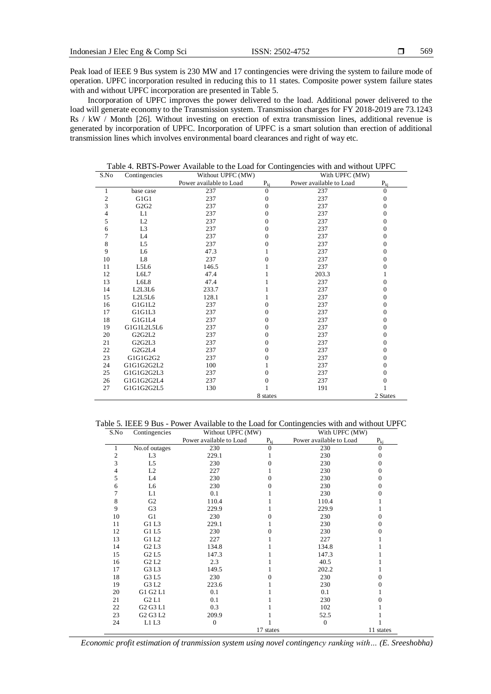Peak load of IEEE 9 Bus system is 230 MW and 17 contingencies were driving the system to failure mode of operation. UPFC incorporation resulted in reducing this to 11 states. Composite power system failure states with and without UPFC incorporation are presented in Table 5.

Incorporation of UPFC improves the power delivered to the load. Additional power delivered to the load will generate economy to the Transmission system. Transmission charges for FY 2018-2019 are 73.1243 Rs / kW / Month [26]. Without investing on erection of extra transmission lines, additional revenue is generated by incorporation of UPFC. Incorporation of UPFC is a smart solution than erection of additional transmission lines which involves environmental board clearances and right of way etc.

| S.No                    | Contingencies                                | Without UPFC (MW)       |              | With UPFC (MW)          |              |  |
|-------------------------|----------------------------------------------|-------------------------|--------------|-------------------------|--------------|--|
|                         |                                              | Power available to Load | $P_{ki}$     | Power available to Load | $P_{ki}$     |  |
| 1                       | base case                                    | 237                     | $\mathbf{0}$ | 237                     | $\mathbf{0}$ |  |
| $\overline{\mathbf{c}}$ | G1G1                                         | 237                     | $\Omega$     | 237                     | $\Omega$     |  |
| 3                       | G2G2                                         | 237                     | $\mathbf{0}$ | 237                     | $\mathbf{0}$ |  |
| 4                       | L1                                           | 237                     | $\Omega$     | 237                     | $\Omega$     |  |
| 5                       | L2                                           | 237                     | $\Omega$     | 237                     | $\mathbf{0}$ |  |
| 6                       | L <sub>3</sub>                               | 237                     | $\Omega$     | 237                     | $\Omega$     |  |
| 7                       | L4                                           | 237                     | $\Omega$     | 237                     | $\Omega$     |  |
| 8                       | L5                                           | 237                     | $\Omega$     | 237                     | $\Omega$     |  |
| 9                       | L6                                           | 47.3                    |              | 237                     | $\mathbf{0}$ |  |
| 10                      | L8                                           | 237                     | $\Omega$     | 237                     | $\Omega$     |  |
| 11                      | L5L6                                         | 146.5                   |              | 237                     | $\Omega$     |  |
| 12                      | L6L7                                         | 47.4                    |              | 203.3                   | 1            |  |
| 13                      | L6L8                                         | 47.4                    |              | 237                     | $\Omega$     |  |
| 14                      | L2L3L6                                       | 233.7                   |              | 237                     | $\mathbf{0}$ |  |
| 15                      | L2L5L6                                       | 128.1                   |              | 237                     | $\mathbf{0}$ |  |
| 16                      | G1G1L2                                       | 237                     | $\Omega$     | 237                     | $\Omega$     |  |
| 17                      | G1G1L3                                       | 237                     | 0            | 237                     | $\Omega$     |  |
| 18                      | G1G1L4                                       | 237                     | 0            | 237                     | $\mathbf{0}$ |  |
| 19                      | G1G1L2L5L6                                   | 237                     | 0            | 237                     | $\mathbf{0}$ |  |
| 20                      | G <sub>2</sub> G <sub>2</sub> L <sub>2</sub> | 237                     | $\Omega$     | 237                     | $\mathbf{0}$ |  |
| 21                      | G2G2L3                                       | 237                     | $\Omega$     | 237                     | $\Omega$     |  |
| 22                      | G <sub>2</sub> G <sub>2</sub> L <sub>4</sub> | 237                     | $\Omega$     | 237                     | $\Omega$     |  |
| 23                      | G1G1G2G2                                     | 237                     | 0            | 237                     | $\mathbf{0}$ |  |
| 24                      | G1G1G2G2L2                                   | 100                     |              | 237                     | $\mathbf{0}$ |  |
| 25                      | G1G1G2G2L3                                   | 237                     | $\Omega$     | 237                     | $\Omega$     |  |
| 26                      | G1G1G2G2L4                                   | 237                     | $\Omega$     | 237                     | $\Omega$     |  |
| 27                      | G1G1G2G2L5                                   | 130                     |              | 191                     |              |  |
|                         |                                              |                         | 8 states     |                         | 2 States     |  |

Table 4. RBTS-Power Available to the Load for Contingencies with and without UPFC

Table 5. IEEE 9 Bus - Power Available to the Load for Contingencies with and without UPFC

| S.No | Contingencies                                | Without UPFC (MW)       |           | With UPFC (MW)          |                |  |
|------|----------------------------------------------|-------------------------|-----------|-------------------------|----------------|--|
|      |                                              | Power available to Load | $P_{ki}$  | Power available to Load | $P_{ki}$       |  |
|      | No.of outages                                | 230                     | $\Omega$  | 230                     | $\overline{0}$ |  |
| 2    | L <sub>3</sub>                               | 229.1                   |           | 230                     | $\Omega$       |  |
| 3    | L5                                           | 230                     | 0         | 230                     | 0              |  |
| 4    | L <sub>2</sub>                               | 227                     |           | 230                     | $\Omega$       |  |
| 5    | L4                                           | 230                     | 0         | 230                     | $\Omega$       |  |
| 6    | L6                                           | 230                     | 0         | 230                     | 0              |  |
| 7    | L1                                           | 0.1                     |           | 230                     | 0              |  |
| 8    | G <sub>2</sub>                               | 110.4                   |           | 110.4                   |                |  |
| 9    | G <sub>3</sub>                               | 229.9                   |           | 229.9                   |                |  |
| 10   | G1                                           | 230                     | 0         | 230                     | $\Omega$       |  |
| 11   | G1 L3                                        | 229.1                   |           | 230                     | 0              |  |
| 12   | G1 L5                                        | 230                     | 0         | 230                     | 0              |  |
| 13   | G1 L2                                        | 227                     |           | 227                     |                |  |
| 14   | G <sub>2</sub> L <sub>3</sub>                | 134.8                   |           | 134.8                   |                |  |
| 15   | G <sub>2</sub> L <sub>5</sub>                | 147.3                   |           | 147.3                   |                |  |
| 16   | G2 L2                                        | 2.3                     |           | 40.5                    |                |  |
| 17   | G3 L3                                        | 149.5                   |           | 202.2                   |                |  |
| 18   | G3 L5                                        | 230                     |           | 230                     | 0              |  |
| 19   | G3 L2                                        | 223.6                   |           | 230                     | 0              |  |
| 20   | G1 G2 L1                                     | 0.1                     |           | 0.1                     |                |  |
| 21   | G2 L1                                        | 0.1                     |           | 230                     | 0              |  |
| 22   | G <sub>2</sub> G <sub>3</sub> L <sub>1</sub> | 0.3                     |           | 102                     |                |  |
| 23   | G <sub>2</sub> G <sub>3</sub> L <sub>2</sub> | 209.9                   |           | 52.5                    |                |  |
| 24   | L1L3                                         | $\boldsymbol{0}$        |           | $\boldsymbol{0}$        |                |  |
|      |                                              |                         | 17 states |                         | 11 states      |  |

*Economic profit estimation of tranmission system using novel contingency ranking with… (E. Sreeshobha)*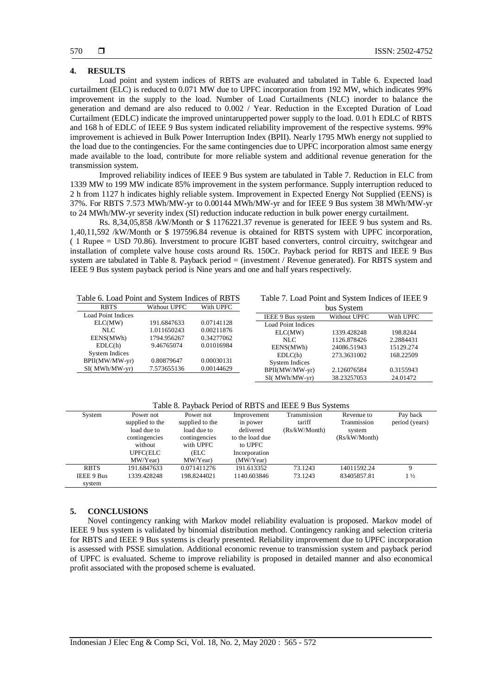# **4. RESULTS**

Load point and system indices of RBTS are evaluated and tabulated in Table 6. Expected load curtailment (ELC) is reduced to 0.071 MW due to UPFC incorporation from 192 MW, which indicates 99% improvement in the supply to the load. Number of Load Curtailments (NLC) inorder to balance the generation and demand are also reduced to 0.002 / Year. Reduction in the Excepted Duration of Load Curtailment (EDLC) indicate the improved unintarupperted power supply to the load. 0.01 h EDLC of RBTS and 168 h of EDLC of IEEE 9 Bus system indicated reliability improvement of the respective systems. 99% improvement is achieved in Bulk Power Interruption Index (BPII). Nearly 1795 MWh energy not supplied to the load due to the contingencies. For the same contingencies due to UPFC incorporation almost same energy made available to the load, contribute for more reliable system and additional revenue generation for the transmission system.

Improved reliability indices of IEEE 9 Bus system are tabulated in Table 7. Reduction in ELC from 1339 MW to 199 MW indicate 85% improvement in the system performance. Supply interruption reduced to 2 h from 1127 h indicates highly reliable system. Improvement in Expected Energy Not Supplied (EENS) is 37%. For RBTS 7.573 MWh/MW-yr to 0.00144 MWh/MW-yr and for IEEE 9 Bus system 38 MWh/MW-yr to 24 MWh/MW-yr severity index (SI) reduction inducate reduction in bulk power energy curtailment.

Rs. 8,34,05,858 /kW/Month or \$ 1176221.37 revenue is generated for IEEE 9 bus system and Rs. 1,40,11,592 /kW/Month or \$ 197596.84 revenue is obtained for RBTS system with UPFC incorporation, ( 1 Rupee = USD 70.86). Inverstment to procure IGBT based converters, control circuitry, switchgear and installation of complete valve house costs around Rs. 150Cr. Payback period for RBTS and IEEE 9 Bus system are tabulated in Table 8. Payback period = (investment / Revenue generated). For RBTS system and IEEE 9 Bus system payback period is Nine years and one and half years respectively.

| Table 6. Load Point and System Indices of RBTS |  |  |
|------------------------------------------------|--|--|
|------------------------------------------------|--|--|

Table 7. Load Point and System Indices of IEEE 9

| <b>RBTS</b>           | Without UPFC | With UPFC  | bus System                                     |  |  |  |
|-----------------------|--------------|------------|------------------------------------------------|--|--|--|
| Load Point Indices    |              |            | Without UPFC<br>With UPFC<br>IEEE 9 Bus system |  |  |  |
| ELC(MW)               | 191.6847633  | 0.07141128 | Load Point Indices                             |  |  |  |
| NLC.                  | 1.011650243  | 0.00211876 | 1339.428248<br>198.8244<br>ELC(MW)             |  |  |  |
| EENS(MWh)             | 1794.956267  | 0.34277062 | 1126.878426<br>2.2884431<br>NLC.               |  |  |  |
| EDLC(h)               | 9.46765074   | 0.01016984 | EENS(MWh)<br>24086.51943<br>15129.274          |  |  |  |
| <b>System Indices</b> |              |            | 273.3631002<br>168.22509<br>EDLC(h)            |  |  |  |
| BPII(MW/MW-yr)        | 0.80879647   | 0.00030131 | System Indices                                 |  |  |  |
| $SI(MWh/MW-yr)$       | 7.573655136  | 0.00144629 | BPII(MW/MW-yr)<br>2.126076584<br>0.3155943     |  |  |  |
|                       |              |            | $SI(MWh/MW-vr)$<br>38.23257053<br>24.01472     |  |  |  |

# Table 8. Payback Period of RBTS and IEEE 9 Bus Systems

| System            | Power not       | Power not       | Improvement     | Transmission  | Revenue to    | Pay back       |
|-------------------|-----------------|-----------------|-----------------|---------------|---------------|----------------|
|                   | supplied to the | supplied to the | in power        | tariff        | Tranmission   | period (years) |
|                   | load due to     | load due to     | delivered       | (Rs/kW/Month) | system        |                |
|                   | contingencies   | contingencies   | to the load due |               | (Rs/kW/Month) |                |
|                   | without         | with UPFC       | to UPFC         |               |               |                |
|                   | UPFC(ELC        | (ELC            | Incorporation   |               |               |                |
|                   | MW/Year)        | MW/Year)        | (MW/Year)       |               |               |                |
| <b>RBTS</b>       | 191.6847633     | 0.071411276     | 191.613352      | 73.1243       | 14011592.24   | 9              |
| <b>IEEE 9 Bus</b> | 1339.428248     | 198.8244021     | 1140.603846     | 73.1243       | 83405857.81   | $1\frac{1}{2}$ |
| system            |                 |                 |                 |               |               |                |

## **5. CONCLUSIONS**

Novel contingency ranking with Markov model reliability evaluation is proposed. Markov model of IEEE 9 bus system is validated by binomial distribution method. Contingency ranking and selection criteria for RBTS and IEEE 9 Bus systems is clearly presented. Reliability improvement due to UPFC incorporation is assessed with PSSE simulation. Additional economic revenue to transmission system and payback period of UPFC is evaluated. Scheme to improve reliability is proposed in detailed manner and also economical profit associated with the proposed scheme is evaluated.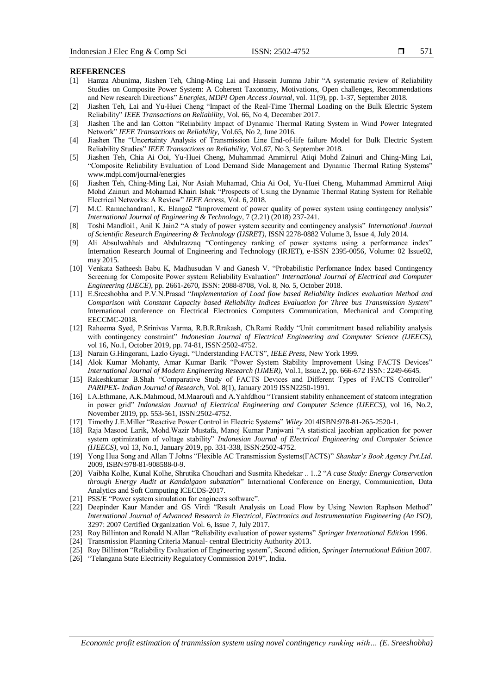#### **REFERENCES**

- [1] Hamza Abunima, Jiashen Teh, Ching-Ming Lai and Hussein Jumma Jabir "A systematic review of Reliability Studies on Composite Power System: A Coherent Taxonomy, Motivations, Open challenges, Recommendations and New research Directions" *Energies, MDPI Open Access Journal*, vol. 11(9), pp. 1-37, September 2018.
- [2] Jiashen Teh, Lai and Yu-Huei Cheng "Impact of the Real-Time Thermal Loading on the Bulk Electric System Reliability" *IEEE Transactions on Reliability*, Vol. 66, No 4, December 2017.
- [3] Jiashen The and Ian Cotton "Reliability Impact of Dynamic Thermal Rating System in Wind Power Integrated Network" *IEEE Transactions on Reliability*, Vol.65, No 2, June 2016.
- [4] Jiashen The "Uncertainty Analysis of Transmission Line End-of-life failure Model for Bulk Electric System Reliability Studies" *IEEE Transactions on Reliability*, Vol.67, No 3, September 2018.
- [5] Jiashen Teh, Chia Ai Ooi, Yu-Huei Cheng, Muhammad Ammirrul Atiqi Mohd Zainuri and Ching-Ming Lai, "Composite Reliability Evaluation of Load Demand Side Management and Dynamic Thermal Rating Systems" www.mdpi.com/journal/energies
- [6] Jiashen Teh, Ching-Ming Lai, Nor Asiah Muhamad, Chia Ai Ool, Yu-Huei Cheng, Muhammad Ammirrul Atiqi Mohd Zainuri and Mohamad Khairi Ishak "Prospects of Using the Dynamic Thermal Rating System for Reliable Electrical Networks: A Review" *IEEE Access*, Vol. 6, 2018.
- [7] M.C. Ramachandran1, K. Elango2 "Improvement of power quality of power system using contingency analysis" *International Journal of Engineering & Technology*, 7 (2.21) (2018) 237-241.
- [8] Toshi Mandloi1, Anil K Jain2 "A study of power system security and contingency analysis" *International Journal of Scientific Research Engineering & Technology (IJSRET)*, ISSN 2278-0882 Volume 3, Issue 4, July 2014.
- [9] Ali Absulwahhab and Abdulrazzaq "Contingency ranking of power systems using a performance index" Internation Research Journal of Engineering and Technology (IRJET), e-ISSN 2395-0056, Volume: 02 Issue02, may 2015.
- [10] Venkata Satheesh Babu K, Madhusudan V and Ganesh V. "Probabilistic Perfomance Index based Contingency Screening for Composite Power system Reliability Evaluation" *International Journal of Electrical and Computer Engineering (IJECE)*, pp. 2661-2670, ISSN: 2088-8708, Vol. 8, No. 5, October 2018.
- [11] E.Sreeshobha and P.V.N.Prasad "*Implementation of Load flow based Reliability Indices evaluation Method and Comparison with Constant Capacity based Reliability Indices Evaluation for Three bus Transmission System*" International conference on Electrical Electronics Computers Communication, Mechanical and Computing EECCMC-2018.
- [12] Raheema Syed, P.Srinivas Varma, R.B.R.Rrakash, Ch.Rami Reddy "Unit commitment based reliability analysis with contingency constraint" *Indonesian Journal of Electrical Engineering and Computer Science (IJEECS),* vol 16, No.1, October 2019, pp. 74-81, ISSN:2502-4752.
- [13] Narain G.Hingorani, Lazlo Gyugi, "Understanding FACTS", *IEEE Press*, New York 1999.
- [14] Alok Kumar Mohanty, Amar Kumar Barik "Power System Stability Improvement Using FACTS Devices" *International Journal of Modern Engineering Research (IJMER),* Vol.1, Issue.2, pp. 666-672 ISSN: 2249-6645.
- [15] Rakeshkumar B.Shah "Comparative Study of FACTS Devices and Different Types of FACTS Controller" *PARIPEX- Indian Journal of Research*, Vol. 8(1), January 2019 ISSN2250-1991.
- [16] I.A.Ethmane, A.K.Mahmoud, M.Maaroufi and A.Yahfdhou "Transient stability enhancement of statcom integration in power grid" *Indonesian Journal of Electrical Engineering and Computer Science (IJEECS),* vol 16, No.2, November 2019, pp. 553-561, ISSN:2502-4752.
- [17] Timothy J.E.Miller "Reactive Power Control in Electric Systems" *Wiley* 2014ISBN:978-81-265-2520-1.
- [18] Raja Masood Larik, Mohd.Wazir Mustafa, Manoj Kumar Panjwani "A statistical jacobian application for power system optimization of voltage stability" *Indonesian Journal of Electrical Engineering and Computer Science (IJEECS),* vol 13, No.1, January 2019, pp. 331-338, ISSN:2502-4752.
- [19] Yong Hua Song and Allan T Johns "Flexible AC Transmission Systems(FACTS)" *Shankar's Book Agency Pvt.Ltd*. 2009, ISBN:978-81-908588-0-9.
- [20] Vaibha Kolhe, Kunal Kolhe, Shrutika Choudhari and Susmita Khedekar .. 1..2 "*A case Study: Energy Conservation through Energy Audit at Kandalgaon substation*" International Conference on Energy, Communication, Data Analytics and Soft Computing ICECDS-2017.
- [21] PSS/E "Power system simulation for engineers software".
- [22] Deepinder Kaur Mander and GS Virdi "Result Analysis on Load Flow by Using Newton Raphson Method" *International Journal of Advanced Research in Electrical, Electronics and Instrumentation Engineering (An ISO),* 3297: 2007 Certified Organization Vol. 6, Issue 7, July 2017.
- [23] Roy Billinton and Ronald N.Allan "Reliability evaluation of power systems" *Springer International Edition* 1996.
- [24] Transmission Planning Criteria Manual- central Electricity Authority 2013.
- [25] Roy Billinton "Reliability Evaluation of Engineering system", Second edition, *Springer International Edition* 2007.
- [26] "Telangana State Electricity Regulatory Commission 2019", India.